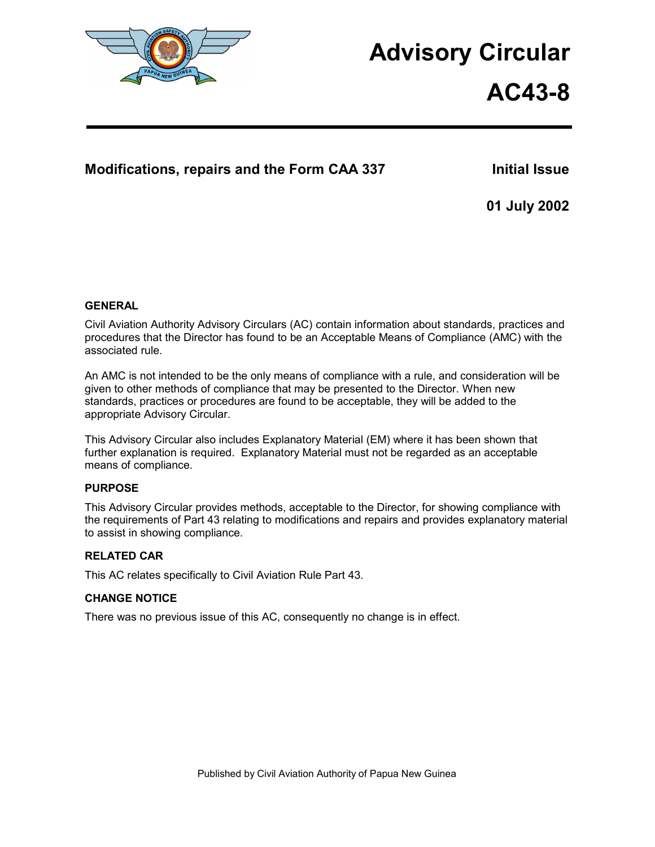

# **Advisory Circular**

# **AC43-8**

# **Modifications, repairs and the Form CAA 337 Initial Issue**

**01 July 2002** 

# **GENERAL**

Civil Aviation Authority Advisory Circulars (AC) contain information about standards, practices and procedures that the Director has found to be an Acceptable Means of Compliance (AMC) with the associated rule.

An AMC is not intended to be the only means of compliance with a rule, and consideration will be given to other methods of compliance that may be presented to the Director. When new standards, practices or procedures are found to be acceptable, they will be added to the appropriate Advisory Circular.

This Advisory Circular also includes Explanatory Material (EM) where it has been shown that further explanation is required. Explanatory Material must not be regarded as an acceptable means of compliance.

# **PURPOSE**

This Advisory Circular provides methods, acceptable to the Director, for showing compliance with the requirements of Part 43 relating to modifications and repairs and provides explanatory material to assist in showing compliance.

# **RELATED CAR**

This AC relates specifically to Civil Aviation Rule Part 43.

# **CHANGE NOTICE**

There was no previous issue of this AC, consequently no change is in effect.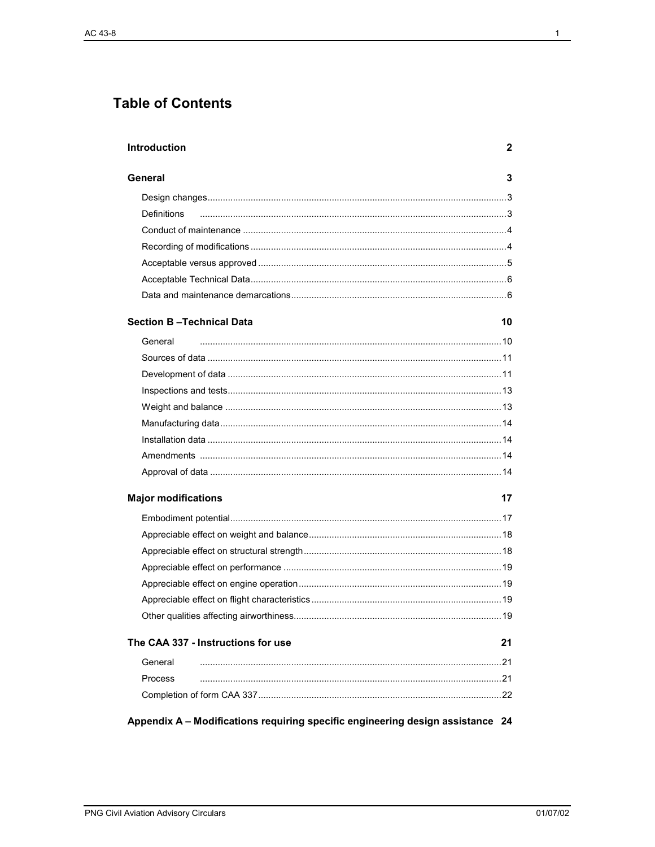# **Table of Contents**

| Introduction                                                                   | 2   |
|--------------------------------------------------------------------------------|-----|
| General                                                                        | 3   |
|                                                                                |     |
| Definitions                                                                    |     |
|                                                                                |     |
|                                                                                |     |
|                                                                                |     |
|                                                                                |     |
|                                                                                |     |
| <b>Section B-Technical Data</b>                                                | 10  |
| General                                                                        |     |
|                                                                                |     |
|                                                                                |     |
|                                                                                |     |
|                                                                                |     |
|                                                                                |     |
|                                                                                |     |
|                                                                                |     |
|                                                                                |     |
| <b>Major modifications</b>                                                     | 17  |
|                                                                                |     |
|                                                                                |     |
|                                                                                |     |
|                                                                                |     |
|                                                                                |     |
|                                                                                |     |
|                                                                                |     |
| The CAA 337 - Instructions for use                                             | 21  |
| General                                                                        | .21 |
| Process                                                                        |     |
|                                                                                |     |
| Appendix A - Modifications requiring specific engineering design assistance 24 |     |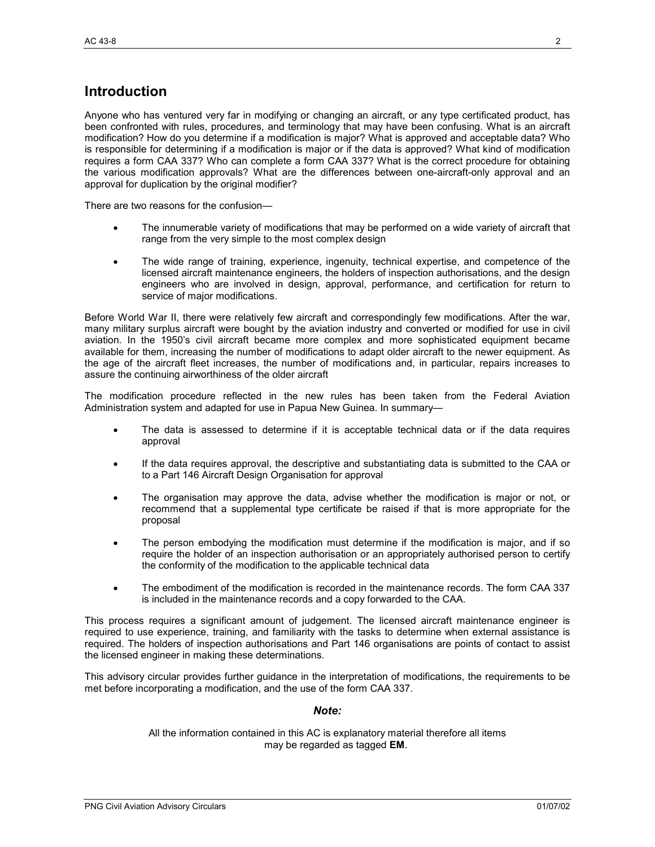# **Introduction**

Anyone who has ventured very far in modifying or changing an aircraft, or any type certificated product, has been confronted with rules, procedures, and terminology that may have been confusing. What is an aircraft modification? How do you determine if a modification is major? What is approved and acceptable data? Who is responsible for determining if a modification is major or if the data is approved? What kind of modification requires a form CAA 337? Who can complete a form CAA 337? What is the correct procedure for obtaining the various modification approvals? What are the differences between one-aircraft-only approval and an approval for duplication by the original modifier?

There are two reasons for the confusion—

- The innumerable variety of modifications that may be performed on a wide variety of aircraft that range from the very simple to the most complex design
- The wide range of training, experience, ingenuity, technical expertise, and competence of the licensed aircraft maintenance engineers, the holders of inspection authorisations, and the design engineers who are involved in design, approval, performance, and certification for return to service of major modifications.

Before World War II, there were relatively few aircraft and correspondingly few modifications. After the war, many military surplus aircraft were bought by the aviation industry and converted or modified for use in civil aviation. In the 1950's civil aircraft became more complex and more sophisticated equipment became available for them, increasing the number of modifications to adapt older aircraft to the newer equipment. As the age of the aircraft fleet increases, the number of modifications and, in particular, repairs increases to assure the continuing airworthiness of the older aircraft

The modification procedure reflected in the new rules has been taken from the Federal Aviation Administration system and adapted for use in Papua New Guinea. In summary—

- The data is assessed to determine if it is acceptable technical data or if the data requires approval
- If the data requires approval, the descriptive and substantiating data is submitted to the CAA or to a Part 146 Aircraft Design Organisation for approval
- The organisation may approve the data, advise whether the modification is major or not, or recommend that a supplemental type certificate be raised if that is more appropriate for the proposal
- The person embodying the modification must determine if the modification is major, and if so require the holder of an inspection authorisation or an appropriately authorised person to certify the conformity of the modification to the applicable technical data
- The embodiment of the modification is recorded in the maintenance records. The form CAA 337 is included in the maintenance records and a copy forwarded to the CAA.

This process requires a significant amount of judgement. The licensed aircraft maintenance engineer is required to use experience, training, and familiarity with the tasks to determine when external assistance is required. The holders of inspection authorisations and Part 146 organisations are points of contact to assist the licensed engineer in making these determinations.

This advisory circular provides further guidance in the interpretation of modifications, the requirements to be met before incorporating a modification, and the use of the form CAA 337.

#### *Note:*

All the information contained in this AC is explanatory material therefore all items may be regarded as tagged **EM**.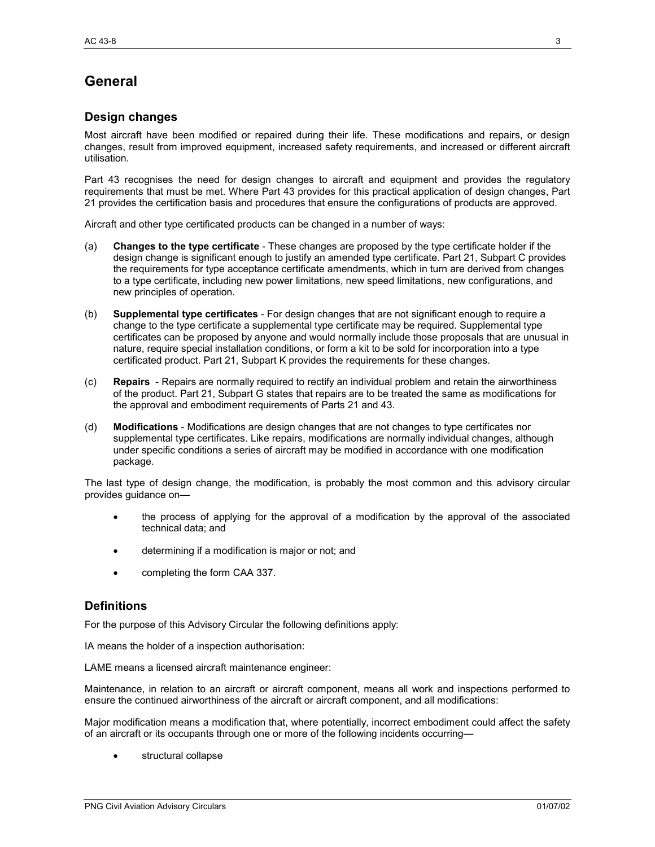# **General**

# **Design changes**

Most aircraft have been modified or repaired during their life. These modifications and repairs, or design changes, result from improved equipment, increased safety requirements, and increased or different aircraft utilisation.

Part 43 recognises the need for design changes to aircraft and equipment and provides the regulatory requirements that must be met. Where Part 43 provides for this practical application of design changes, Part 21 provides the certification basis and procedures that ensure the configurations of products are approved.

Aircraft and other type certificated products can be changed in a number of ways:

- (a) **Changes to the type certificate** These changes are proposed by the type certificate holder if the design change is significant enough to justify an amended type certificate. Part 21, Subpart C provides the requirements for type acceptance certificate amendments, which in turn are derived from changes to a type certificate, including new power limitations, new speed limitations, new configurations, and new principles of operation.
- (b) **Supplemental type certificates** For design changes that are not significant enough to require a change to the type certificate a supplemental type certificate may be required. Supplemental type certificates can be proposed by anyone and would normally include those proposals that are unusual in nature, require special installation conditions, or form a kit to be sold for incorporation into a type certificated product. Part 21, Subpart K provides the requirements for these changes.
- (c) **Repairs** Repairs are normally required to rectify an individual problem and retain the airworthiness of the product. Part 21, Subpart G states that repairs are to be treated the same as modifications for the approval and embodiment requirements of Parts 21 and 43.
- (d) **Modifications** Modifications are design changes that are not changes to type certificates nor supplemental type certificates. Like repairs, modifications are normally individual changes, although under specific conditions a series of aircraft may be modified in accordance with one modification package.

The last type of design change, the modification, is probably the most common and this advisory circular provides guidance on—

- the process of applying for the approval of a modification by the approval of the associated technical data; and
- determining if a modification is major or not; and
- completing the form CAA 337.

# **Definitions**

For the purpose of this Advisory Circular the following definitions apply:

IA means the holder of a inspection authorisation:

LAME means a licensed aircraft maintenance engineer:

Maintenance, in relation to an aircraft or aircraft component, means all work and inspections performed to ensure the continued airworthiness of the aircraft or aircraft component, and all modifications:

Major modification means a modification that, where potentially, incorrect embodiment could affect the safety of an aircraft or its occupants through one or more of the following incidents occurring—

structural collapse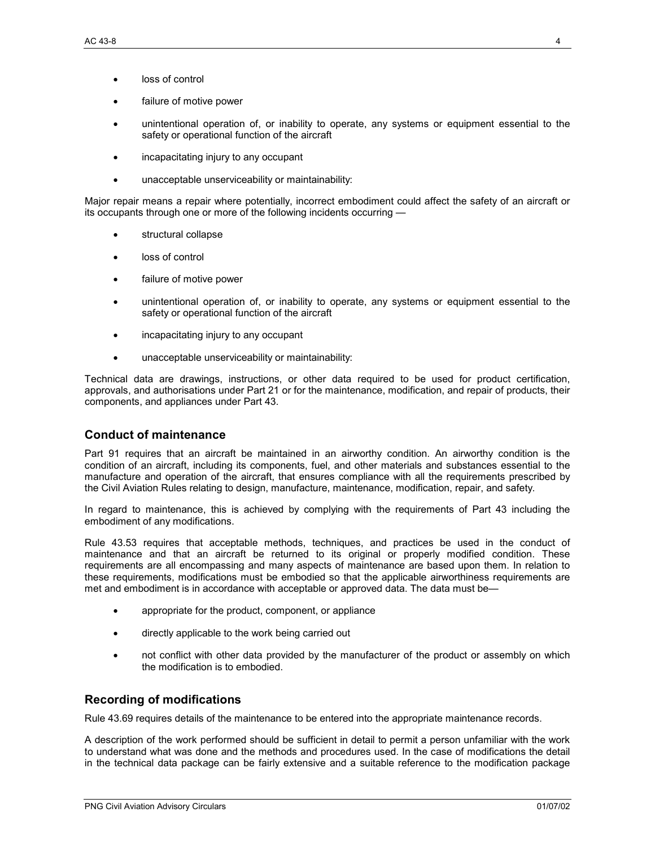- loss of control
- failure of motive power
- unintentional operation of, or inability to operate, any systems or equipment essential to the safety or operational function of the aircraft
- incapacitating injury to any occupant
- unacceptable unserviceability or maintainability:

Major repair means a repair where potentially, incorrect embodiment could affect the safety of an aircraft or its occupants through one or more of the following incidents occurring —

- structural collapse
- loss of control
- failure of motive power
- unintentional operation of, or inability to operate, any systems or equipment essential to the safety or operational function of the aircraft
- incapacitating injury to any occupant
- unacceptable unserviceability or maintainability:

Technical data are drawings, instructions, or other data required to be used for product certification, approvals, and authorisations under Part 21 or for the maintenance, modification, and repair of products, their components, and appliances under Part 43.

# **Conduct of maintenance**

Part 91 requires that an aircraft be maintained in an airworthy condition. An airworthy condition is the condition of an aircraft, including its components, fuel, and other materials and substances essential to the manufacture and operation of the aircraft, that ensures compliance with all the requirements prescribed by the Civil Aviation Rules relating to design, manufacture, maintenance, modification, repair, and safety.

In regard to maintenance, this is achieved by complying with the requirements of Part 43 including the embodiment of any modifications.

Rule 43.53 requires that acceptable methods, techniques, and practices be used in the conduct of maintenance and that an aircraft be returned to its original or properly modified condition. These requirements are all encompassing and many aspects of maintenance are based upon them. In relation to these requirements, modifications must be embodied so that the applicable airworthiness requirements are met and embodiment is in accordance with acceptable or approved data. The data must be—

- appropriate for the product, component, or appliance
- directly applicable to the work being carried out
- not conflict with other data provided by the manufacturer of the product or assembly on which the modification is to embodied.

# **Recording of modifications**

Rule 43.69 requires details of the maintenance to be entered into the appropriate maintenance records.

A description of the work performed should be sufficient in detail to permit a person unfamiliar with the work to understand what was done and the methods and procedures used. In the case of modifications the detail in the technical data package can be fairly extensive and a suitable reference to the modification package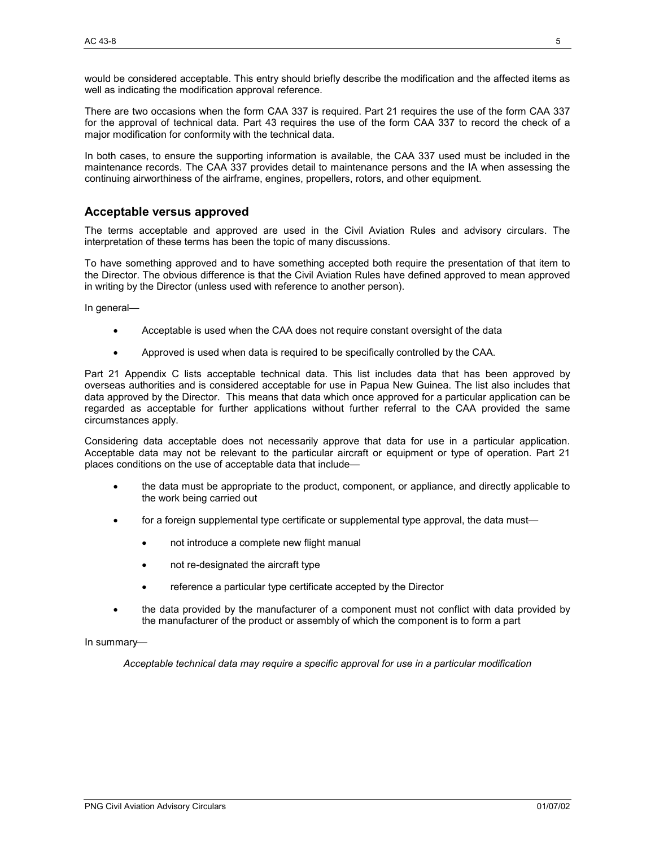would be considered acceptable. This entry should briefly describe the modification and the affected items as well as indicating the modification approval reference.

There are two occasions when the form CAA 337 is required. Part 21 requires the use of the form CAA 337 for the approval of technical data. Part 43 requires the use of the form CAA 337 to record the check of a major modification for conformity with the technical data.

In both cases, to ensure the supporting information is available, the CAA 337 used must be included in the maintenance records. The CAA 337 provides detail to maintenance persons and the IA when assessing the continuing airworthiness of the airframe, engines, propellers, rotors, and other equipment.

#### **Acceptable versus approved**

The terms acceptable and approved are used in the Civil Aviation Rules and advisory circulars. The interpretation of these terms has been the topic of many discussions.

To have something approved and to have something accepted both require the presentation of that item to the Director. The obvious difference is that the Civil Aviation Rules have defined approved to mean approved in writing by the Director (unless used with reference to another person).

In general—

- Acceptable is used when the CAA does not require constant oversight of the data
- Approved is used when data is required to be specifically controlled by the CAA.

Part 21 Appendix C lists acceptable technical data. This list includes data that has been approved by overseas authorities and is considered acceptable for use in Papua New Guinea. The list also includes that data approved by the Director. This means that data which once approved for a particular application can be regarded as acceptable for further applications without further referral to the CAA provided the same circumstances apply.

Considering data acceptable does not necessarily approve that data for use in a particular application. Acceptable data may not be relevant to the particular aircraft or equipment or type of operation. Part 21 places conditions on the use of acceptable data that include—

- the data must be appropriate to the product, component, or appliance, and directly applicable to the work being carried out
- for a foreign supplemental type certificate or supplemental type approval, the data must—
	- not introduce a complete new flight manual
	- not re-designated the aircraft type
	- reference a particular type certificate accepted by the Director
- the data provided by the manufacturer of a component must not conflict with data provided by the manufacturer of the product or assembly of which the component is to form a part

#### In summary—

*Acceptable technical data may require a specific approval for use in a particular modification*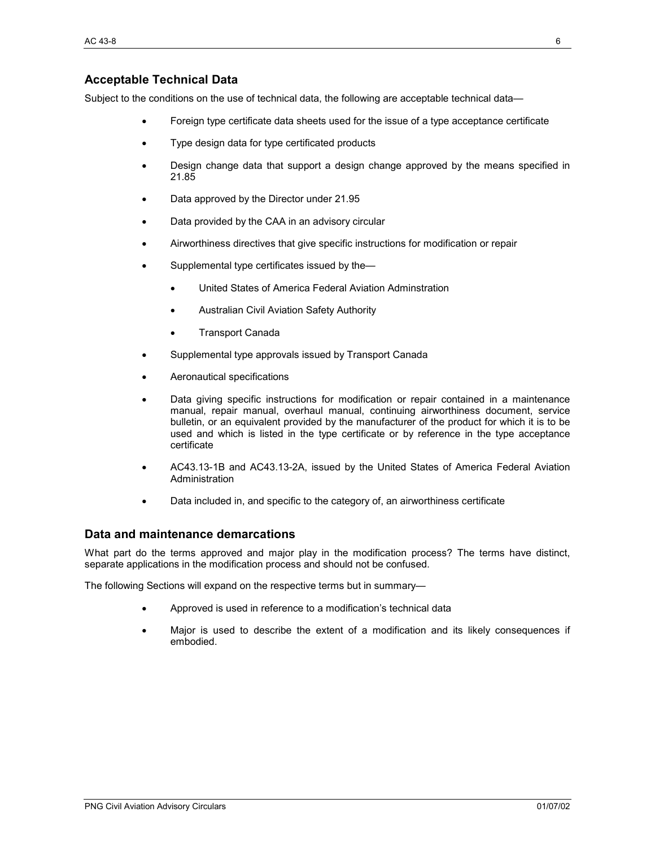# **Acceptable Technical Data**

Subject to the conditions on the use of technical data, the following are acceptable technical data—

- Foreign type certificate data sheets used for the issue of a type acceptance certificate
- Type design data for type certificated products
- Design change data that support a design change approved by the means specified in 21.85
- Data approved by the Director under 21.95
- Data provided by the CAA in an advisory circular
- Airworthiness directives that give specific instructions for modification or repair
- Supplemental type certificates issued by the—
	- United States of America Federal Aviation Adminstration
	- Australian Civil Aviation Safety Authority
	- Transport Canada
- Supplemental type approvals issued by Transport Canada
- Aeronautical specifications
- Data giving specific instructions for modification or repair contained in a maintenance manual, repair manual, overhaul manual, continuing airworthiness document, service bulletin, or an equivalent provided by the manufacturer of the product for which it is to be used and which is listed in the type certificate or by reference in the type acceptance certificate
- AC43.13-1B and AC43.13-2A, issued by the United States of America Federal Aviation Administration
- Data included in, and specific to the category of, an airworthiness certificate

#### **Data and maintenance demarcations**

What part do the terms approved and major play in the modification process? The terms have distinct, separate applications in the modification process and should not be confused.

The following Sections will expand on the respective terms but in summary—

- Approved is used in reference to a modification's technical data
- Major is used to describe the extent of a modification and its likely consequences if embodied.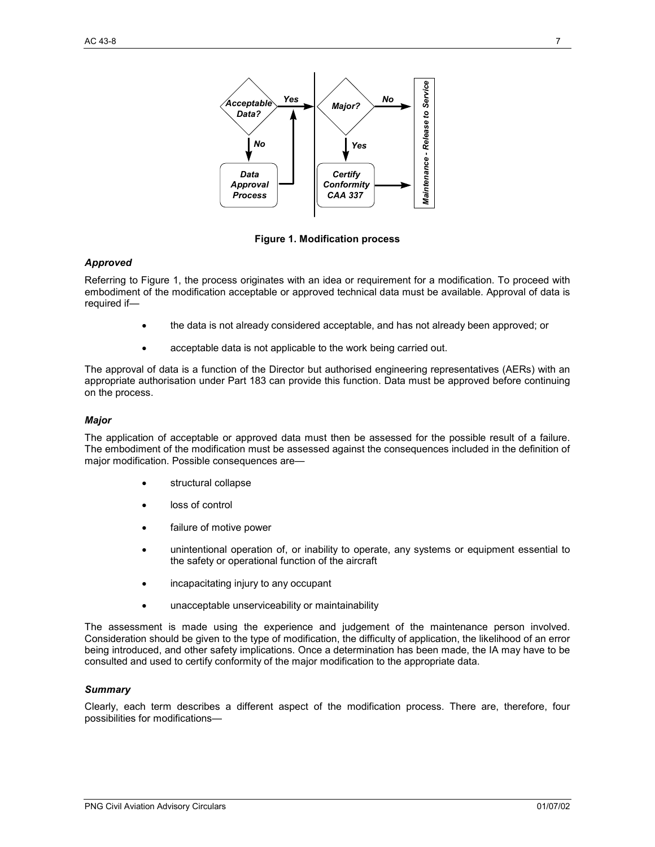

**Figure 1. Modification process** 

#### *Approved*

Referring to Figure 1, the process originates with an idea or requirement for a modification. To proceed with embodiment of the modification acceptable or approved technical data must be available. Approval of data is required if—

- the data is not already considered acceptable, and has not already been approved; or
- acceptable data is not applicable to the work being carried out.

The approval of data is a function of the Director but authorised engineering representatives (AERs) with an appropriate authorisation under Part 183 can provide this function. Data must be approved before continuing on the process.

#### *Major*

The application of acceptable or approved data must then be assessed for the possible result of a failure. The embodiment of the modification must be assessed against the consequences included in the definition of major modification. Possible consequences are—

- structural collapse
- loss of control
- failure of motive power
- unintentional operation of, or inability to operate, any systems or equipment essential to the safety or operational function of the aircraft
- incapacitating injury to any occupant
- unacceptable unserviceability or maintainability

The assessment is made using the experience and judgement of the maintenance person involved. Consideration should be given to the type of modification, the difficulty of application, the likelihood of an error being introduced, and other safety implications. Once a determination has been made, the IA may have to be consulted and used to certify conformity of the major modification to the appropriate data.

#### *Summary*

Clearly, each term describes a different aspect of the modification process. There are, therefore, four possibilities for modifications—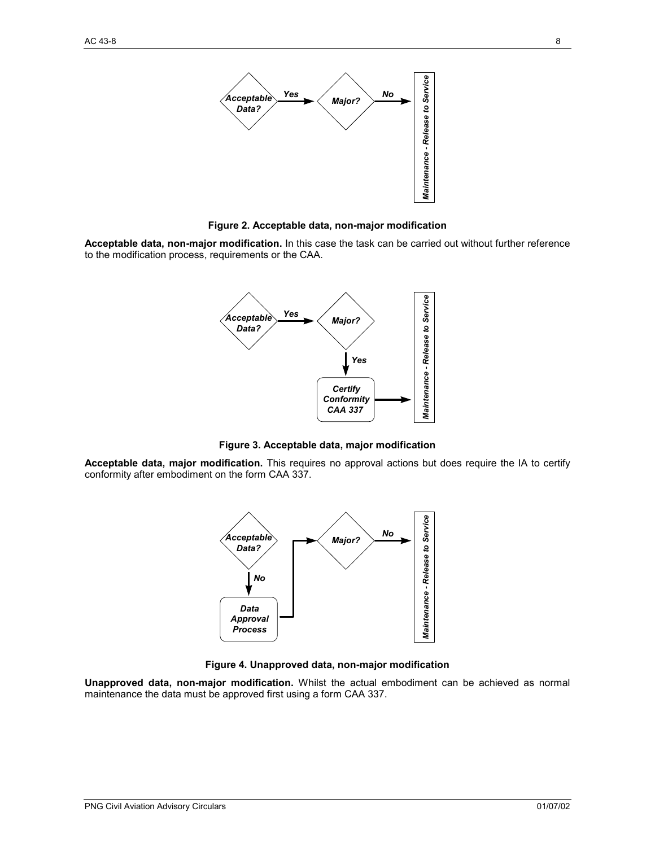

**Figure 2. Acceptable data, non-major modification** 

Acceptable data, non-major modification. In this case the task can be carried out without further reference to the modification process, requirements or the CAA.



**Figure 3. Acceptable data, major modification** 

**Acceptable data, major modification.** This requires no approval actions but does require the IA to certify conformity after embodiment on the form CAA 337.



**Figure 4. Unapproved data, non-major modification** 

**Unapproved data, non-major modification.** Whilst the actual embodiment can be achieved as normal maintenance the data must be approved first using a form CAA 337.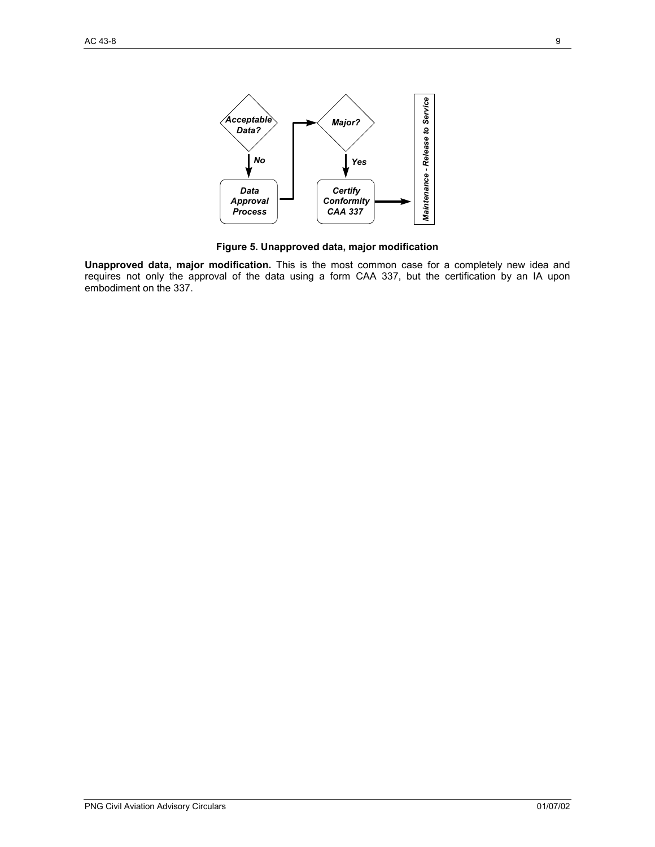

**Figure 5. Unapproved data, major modification** 

**Unapproved data, major modification.** This is the most common case for a completely new idea and requires not only the approval of the data using a form CAA 337, but the certification by an IA upon embodiment on the 337.

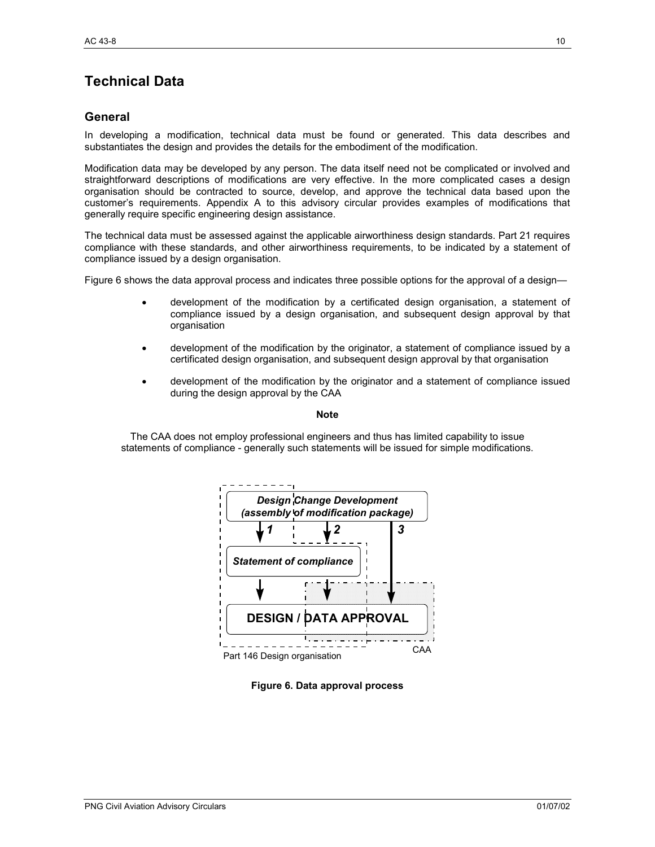# **Technical Data**

# **General**

In developing a modification, technical data must be found or generated. This data describes and substantiates the design and provides the details for the embodiment of the modification.

Modification data may be developed by any person. The data itself need not be complicated or involved and straightforward descriptions of modifications are very effective. In the more complicated cases a design organisation should be contracted to source, develop, and approve the technical data based upon the customer's requirements. Appendix A to this advisory circular provides examples of modifications that generally require specific engineering design assistance.

The technical data must be assessed against the applicable airworthiness design standards. Part 21 requires compliance with these standards, and other airworthiness requirements, to be indicated by a statement of compliance issued by a design organisation.

Figure 6 shows the data approval process and indicates three possible options for the approval of a design—

- development of the modification by a certificated design organisation, a statement of compliance issued by a design organisation, and subsequent design approval by that organisation
- development of the modification by the originator, a statement of compliance issued by a certificated design organisation, and subsequent design approval by that organisation
- development of the modification by the originator and a statement of compliance issued during the design approval by the CAA

**Note** 

The CAA does not employ professional engineers and thus has limited capability to issue statements of compliance - generally such statements will be issued for simple modifications.



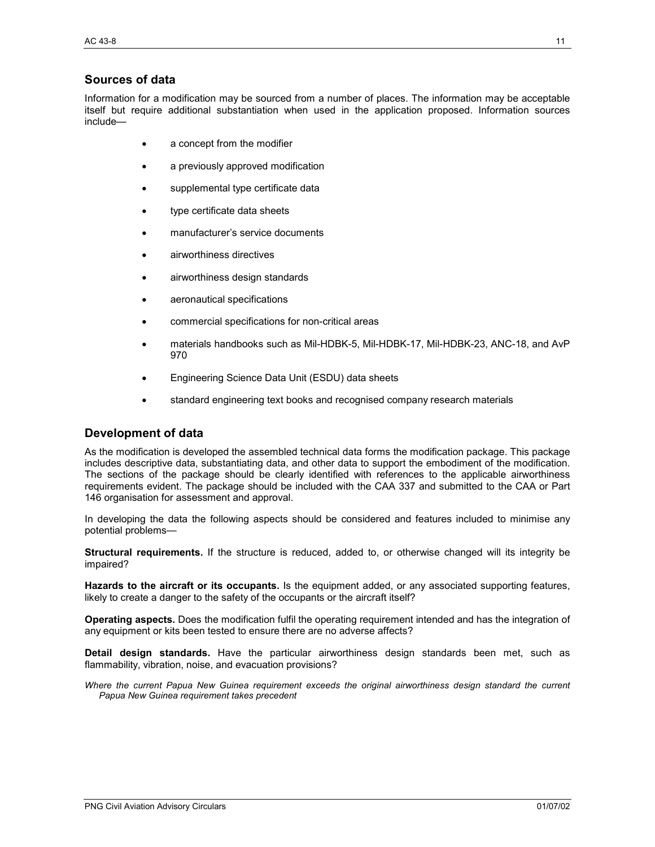# **Sources of data**

Information for a modification may be sourced from a number of places. The information may be acceptable itself but require additional substantiation when used in the application proposed. Information sources include—

- a concept from the modifier
- a previously approved modification
- supplemental type certificate data
- type certificate data sheets
- manufacturer's service documents
- airworthiness directives
- airworthiness design standards
- aeronautical specifications
- commercial specifications for non-critical areas
- materials handbooks such as Mil-HDBK-5, Mil-HDBK-17, Mil-HDBK-23, ANC-18, and AvP 970
- Engineering Science Data Unit (ESDU) data sheets
- standard engineering text books and recognised company research materials

# **Development of data**

As the modification is developed the assembled technical data forms the modification package. This package includes descriptive data, substantiating data, and other data to support the embodiment of the modification. The sections of the package should be clearly identified with references to the applicable airworthiness requirements evident. The package should be included with the CAA 337 and submitted to the CAA or Part 146 organisation for assessment and approval.

In developing the data the following aspects should be considered and features included to minimise any potential problems—

**Structural requirements.** If the structure is reduced, added to, or otherwise changed will its integrity be impaired?

**Hazards to the aircraft or its occupants.** Is the equipment added, or any associated supporting features, likely to create a danger to the safety of the occupants or the aircraft itself?

**Operating aspects.** Does the modification fulfil the operating requirement intended and has the integration of any equipment or kits been tested to ensure there are no adverse affects?

**Detail design standards.** Have the particular airworthiness design standards been met, such as flammability, vibration, noise, and evacuation provisions?

*Where the current Papua New Guinea requirement exceeds the original airworthiness design standard the current Papua New Guinea requirement takes precedent*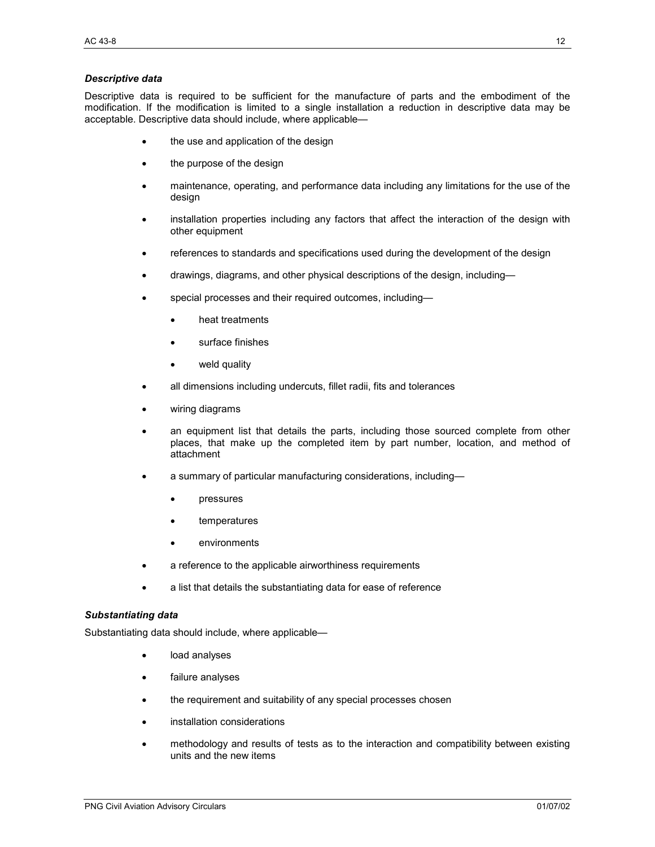#### *Descriptive data*

Descriptive data is required to be sufficient for the manufacture of parts and the embodiment of the modification. If the modification is limited to a single installation a reduction in descriptive data may be acceptable. Descriptive data should include, where applicable—

- the use and application of the design
- the purpose of the design
- maintenance, operating, and performance data including any limitations for the use of the design
- installation properties including any factors that affect the interaction of the design with other equipment
- references to standards and specifications used during the development of the design
- drawings, diagrams, and other physical descriptions of the design, including—
- special processes and their required outcomes, including
	- heat treatments
	- surface finishes
	- weld quality
- all dimensions including undercuts, fillet radii, fits and tolerances
- wiring diagrams
- an equipment list that details the parts, including those sourced complete from other places, that make up the completed item by part number, location, and method of attachment
- a summary of particular manufacturing considerations, including
	- pressures
	- temperatures
	- environments
- a reference to the applicable airworthiness requirements
- a list that details the substantiating data for ease of reference

#### *Substantiating data*

Substantiating data should include, where applicable—

- load analyses
- failure analyses
- the requirement and suitability of any special processes chosen
- installation considerations
- methodology and results of tests as to the interaction and compatibility between existing units and the new items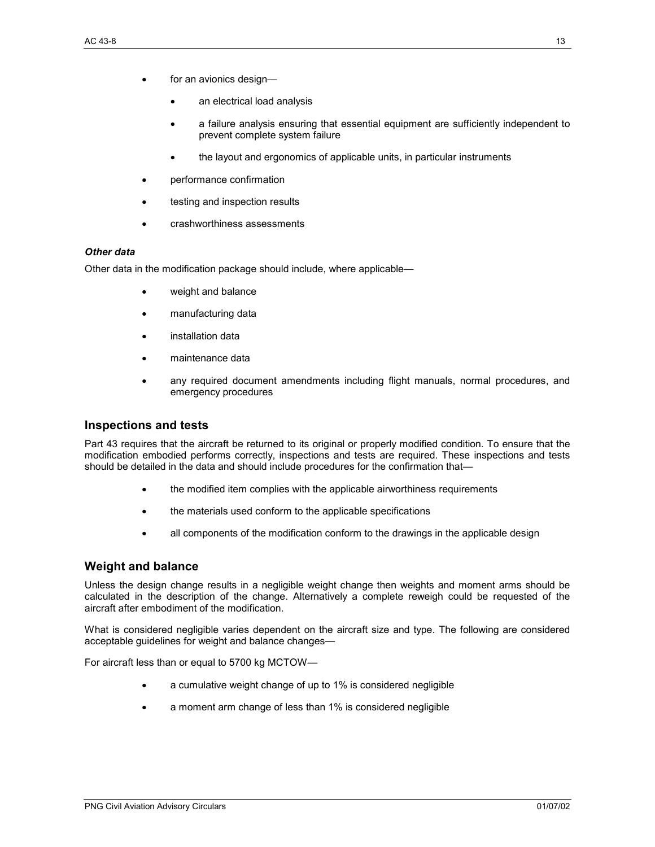- for an avionics design
	- an electrical load analysis
	- a failure analysis ensuring that essential equipment are sufficiently independent to prevent complete system failure
	- the layout and ergonomics of applicable units, in particular instruments
- performance confirmation
- testing and inspection results
- crashworthiness assessments

#### *Other data*

Other data in the modification package should include, where applicable—

- weight and balance
- manufacturing data
- installation data
- maintenance data
- any required document amendments including flight manuals, normal procedures, and emergency procedures

#### **Inspections and tests**

Part 43 requires that the aircraft be returned to its original or properly modified condition. To ensure that the modification embodied performs correctly, inspections and tests are required. These inspections and tests should be detailed in the data and should include procedures for the confirmation that—

- the modified item complies with the applicable airworthiness requirements
- the materials used conform to the applicable specifications
- all components of the modification conform to the drawings in the applicable design

#### **Weight and balance**

Unless the design change results in a negligible weight change then weights and moment arms should be calculated in the description of the change. Alternatively a complete reweigh could be requested of the aircraft after embodiment of the modification.

What is considered negligible varies dependent on the aircraft size and type. The following are considered acceptable guidelines for weight and balance changes—

For aircraft less than or equal to 5700 kg MCTOW—

- a cumulative weight change of up to 1% is considered negligible
- a moment arm change of less than 1% is considered negligible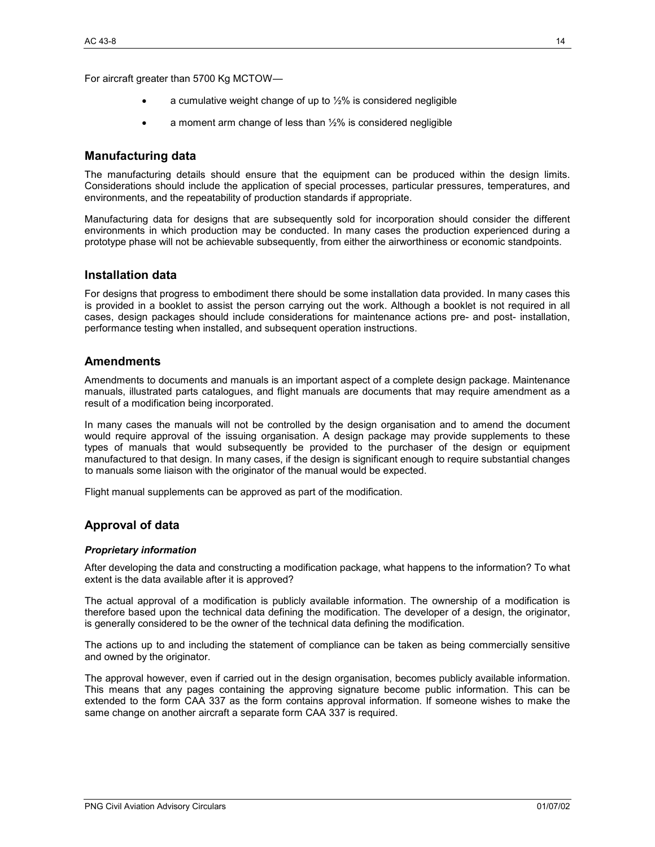For aircraft greater than 5700 Kg MCTOW—

- a cumulative weight change of up to  $1/2$ % is considered negligible
- a moment arm change of less than  $1/2$ % is considered negligible

#### **Manufacturing data**

The manufacturing details should ensure that the equipment can be produced within the design limits. Considerations should include the application of special processes, particular pressures, temperatures, and environments, and the repeatability of production standards if appropriate.

Manufacturing data for designs that are subsequently sold for incorporation should consider the different environments in which production may be conducted. In many cases the production experienced during a prototype phase will not be achievable subsequently, from either the airworthiness or economic standpoints.

#### **Installation data**

For designs that progress to embodiment there should be some installation data provided. In many cases this is provided in a booklet to assist the person carrying out the work. Although a booklet is not required in all cases, design packages should include considerations for maintenance actions pre- and post- installation, performance testing when installed, and subsequent operation instructions.

#### **Amendments**

Amendments to documents and manuals is an important aspect of a complete design package. Maintenance manuals, illustrated parts catalogues, and flight manuals are documents that may require amendment as a result of a modification being incorporated.

In many cases the manuals will not be controlled by the design organisation and to amend the document would require approval of the issuing organisation. A design package may provide supplements to these types of manuals that would subsequently be provided to the purchaser of the design or equipment manufactured to that design. In many cases, if the design is significant enough to require substantial changes to manuals some liaison with the originator of the manual would be expected.

Flight manual supplements can be approved as part of the modification.

#### **Approval of data**

#### *Proprietary information*

After developing the data and constructing a modification package, what happens to the information? To what extent is the data available after it is approved?

The actual approval of a modification is publicly available information. The ownership of a modification is therefore based upon the technical data defining the modification. The developer of a design, the originator, is generally considered to be the owner of the technical data defining the modification.

The actions up to and including the statement of compliance can be taken as being commercially sensitive and owned by the originator.

The approval however, even if carried out in the design organisation, becomes publicly available information. This means that any pages containing the approving signature become public information. This can be extended to the form CAA 337 as the form contains approval information. If someone wishes to make the same change on another aircraft a separate form CAA 337 is required.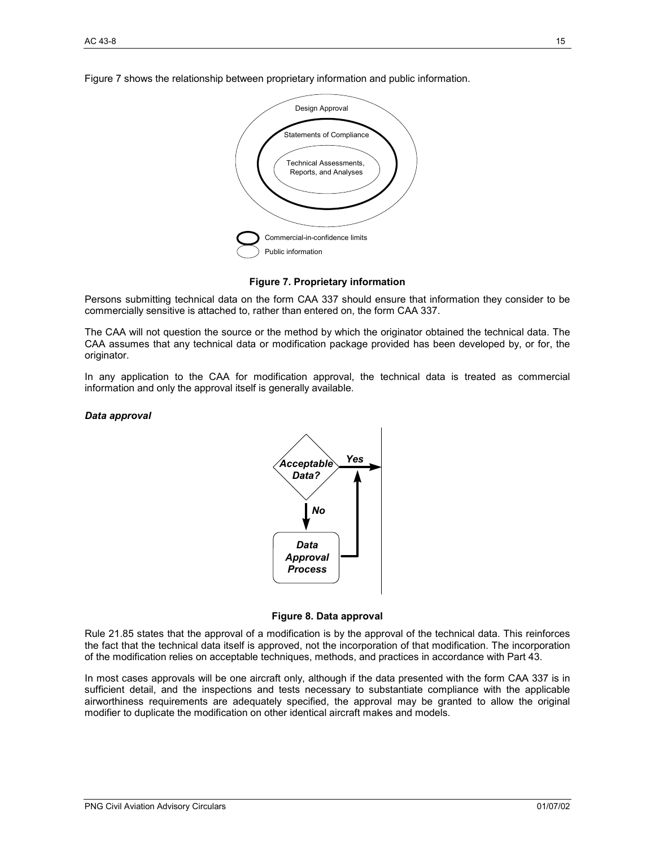Figure 7 shows the relationship between proprietary information and public information.



#### **Figure 7. Proprietary information**

Persons submitting technical data on the form CAA 337 should ensure that information they consider to be commercially sensitive is attached to, rather than entered on, the form CAA 337.

The CAA will not question the source or the method by which the originator obtained the technical data. The CAA assumes that any technical data or modification package provided has been developed by, or for, the originator.

In any application to the CAA for modification approval, the technical data is treated as commercial information and only the approval itself is generally available.

#### *Data approval*





Rule 21.85 states that the approval of a modification is by the approval of the technical data. This reinforces the fact that the technical data itself is approved, not the incorporation of that modification. The incorporation of the modification relies on acceptable techniques, methods, and practices in accordance with Part 43.

In most cases approvals will be one aircraft only, although if the data presented with the form CAA 337 is in sufficient detail, and the inspections and tests necessary to substantiate compliance with the applicable airworthiness requirements are adequately specified, the approval may be granted to allow the original modifier to duplicate the modification on other identical aircraft makes and models.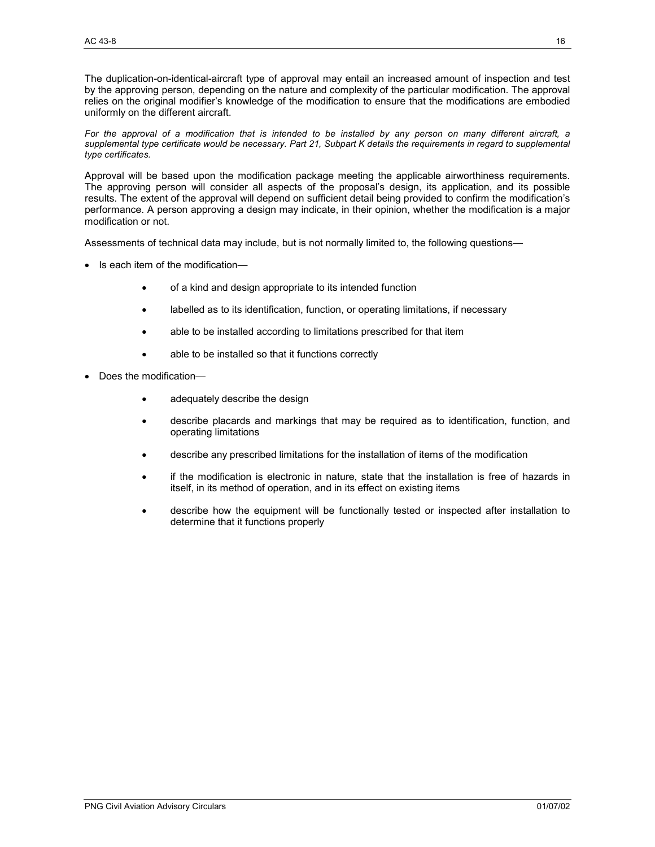The duplication-on-identical-aircraft type of approval may entail an increased amount of inspection and test by the approving person, depending on the nature and complexity of the particular modification. The approval relies on the original modifier's knowledge of the modification to ensure that the modifications are embodied uniformly on the different aircraft.

*For the approval of a modification that is intended to be installed by any person on many different aircraft, a supplemental type certificate would be necessary. Part 21, Subpart K details the requirements in regard to supplemental type certificates.* 

Approval will be based upon the modification package meeting the applicable airworthiness requirements. The approving person will consider all aspects of the proposal's design, its application, and its possible results. The extent of the approval will depend on sufficient detail being provided to confirm the modification's performance. A person approving a design may indicate, in their opinion, whether the modification is a major modification or not.

Assessments of technical data may include, but is not normally limited to, the following questions—

- Is each item of the modification—
	- of a kind and design appropriate to its intended function
	- labelled as to its identification, function, or operating limitations, if necessary
	- able to be installed according to limitations prescribed for that item
	- able to be installed so that it functions correctly
- Does the modification
	- adequately describe the design
	- describe placards and markings that may be required as to identification, function, and operating limitations
	- describe any prescribed limitations for the installation of items of the modification
	- if the modification is electronic in nature, state that the installation is free of hazards in itself, in its method of operation, and in its effect on existing items
	- describe how the equipment will be functionally tested or inspected after installation to determine that it functions properly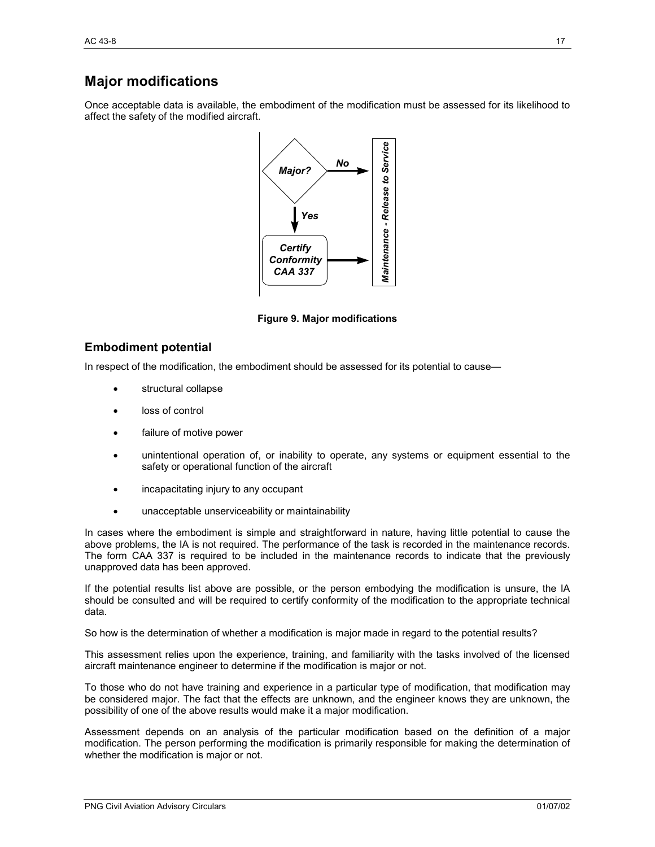# **Major modifications**

Once acceptable data is available, the embodiment of the modification must be assessed for its likelihood to affect the safety of the modified aircraft.



**Figure 9. Major modifications** 

### **Embodiment potential**

In respect of the modification, the embodiment should be assessed for its potential to cause—

- structural collapse
- loss of control
- failure of motive power
- unintentional operation of, or inability to operate, any systems or equipment essential to the safety or operational function of the aircraft
- incapacitating injury to any occupant
- unacceptable unserviceability or maintainability

In cases where the embodiment is simple and straightforward in nature, having little potential to cause the above problems, the IA is not required. The performance of the task is recorded in the maintenance records. The form CAA 337 is required to be included in the maintenance records to indicate that the previously unapproved data has been approved.

If the potential results list above are possible, or the person embodying the modification is unsure, the IA should be consulted and will be required to certify conformity of the modification to the appropriate technical data.

So how is the determination of whether a modification is major made in regard to the potential results?

This assessment relies upon the experience, training, and familiarity with the tasks involved of the licensed aircraft maintenance engineer to determine if the modification is major or not.

To those who do not have training and experience in a particular type of modification, that modification may be considered major. The fact that the effects are unknown, and the engineer knows they are unknown, the possibility of one of the above results would make it a major modification.

Assessment depends on an analysis of the particular modification based on the definition of a major modification. The person performing the modification is primarily responsible for making the determination of whether the modification is major or not.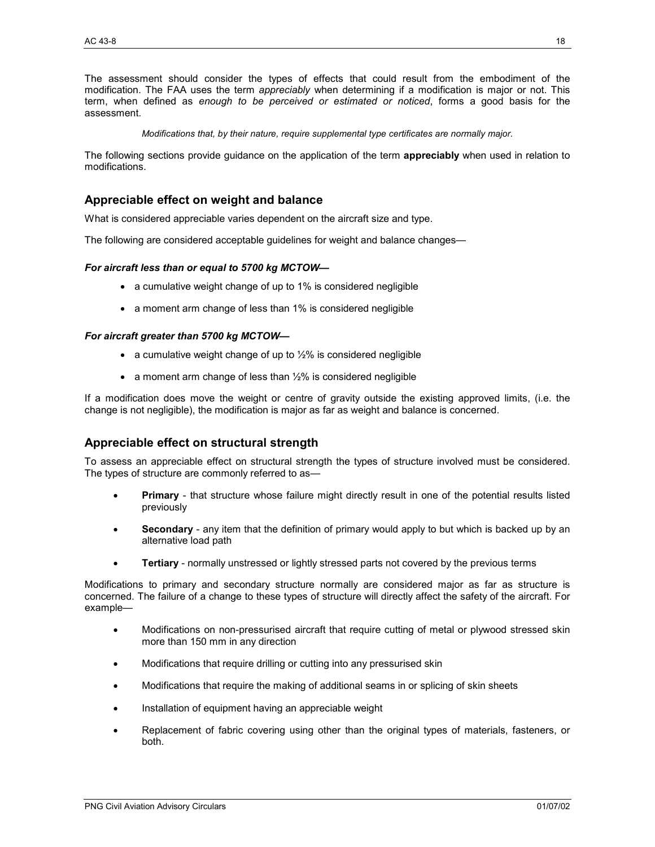The assessment should consider the types of effects that could result from the embodiment of the modification. The FAA uses the term *appreciably* when determining if a modification is major or not. This term, when defined as *enough to be perceived or estimated or noticed*, forms a good basis for the assessment.

*Modifications that, by their nature, require supplemental type certificates are normally major.* 

The following sections provide guidance on the application of the term **appreciably** when used in relation to modifications.

# **Appreciable effect on weight and balance**

What is considered appreciable varies dependent on the aircraft size and type.

The following are considered acceptable guidelines for weight and balance changes—

#### *For aircraft less than or equal to 5700 kg MCTOW—*

- a cumulative weight change of up to 1% is considered negligible
- a moment arm change of less than 1% is considered negligible

#### *For aircraft greater than 5700 kg MCTOW—*

- a cumulative weight change of up to  $1/2$ % is considered negligible
- a moment arm change of less than 1/2% is considered negligible

If a modification does move the weight or centre of gravity outside the existing approved limits, (i.e. the change is not negligible), the modification is major as far as weight and balance is concerned.

# **Appreciable effect on structural strength**

To assess an appreciable effect on structural strength the types of structure involved must be considered. The types of structure are commonly referred to as—

- **Primary** that structure whose failure might directly result in one of the potential results listed previously
- **Secondary** any item that the definition of primary would apply to but which is backed up by an alternative load path
- **Tertiary** normally unstressed or lightly stressed parts not covered by the previous terms

Modifications to primary and secondary structure normally are considered major as far as structure is concerned. The failure of a change to these types of structure will directly affect the safety of the aircraft. For example—

- Modifications on non-pressurised aircraft that require cutting of metal or plywood stressed skin more than 150 mm in any direction
- Modifications that require drilling or cutting into any pressurised skin
- Modifications that require the making of additional seams in or splicing of skin sheets
- Installation of equipment having an appreciable weight
- Replacement of fabric covering using other than the original types of materials, fasteners, or both.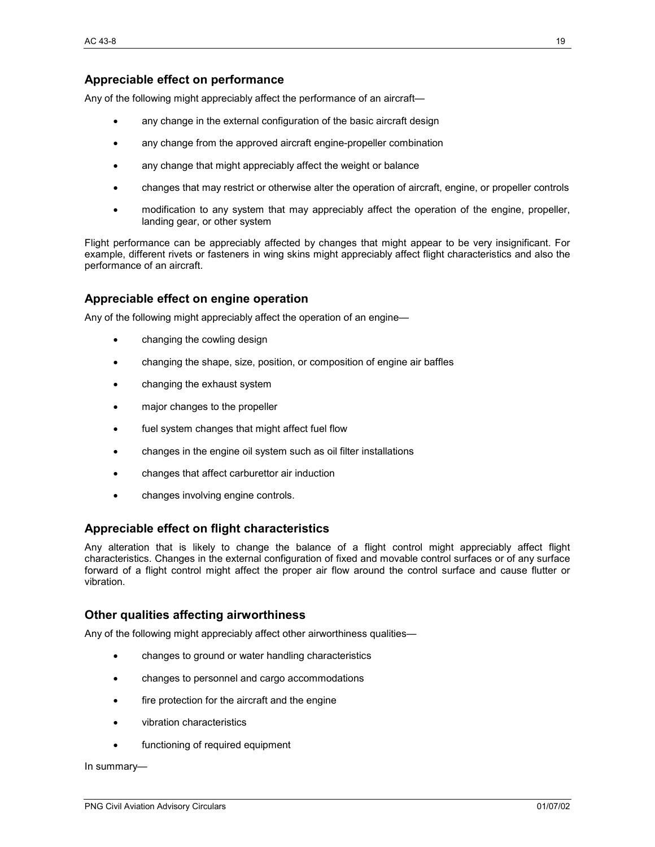# **Appreciable effect on performance**

Any of the following might appreciably affect the performance of an aircraft—

- any change in the external configuration of the basic aircraft design
- any change from the approved aircraft engine-propeller combination
- any change that might appreciably affect the weight or balance
- changes that may restrict or otherwise alter the operation of aircraft, engine, or propeller controls
- modification to any system that may appreciably affect the operation of the engine, propeller, landing gear, or other system

Flight performance can be appreciably affected by changes that might appear to be very insignificant. For example, different rivets or fasteners in wing skins might appreciably affect flight characteristics and also the performance of an aircraft.

### **Appreciable effect on engine operation**

Any of the following might appreciably affect the operation of an engine—

- changing the cowling design
- changing the shape, size, position, or composition of engine air baffles
- changing the exhaust system
- major changes to the propeller
- fuel system changes that might affect fuel flow
- changes in the engine oil system such as oil filter installations
- changes that affect carburettor air induction
- changes involving engine controls.

#### **Appreciable effect on flight characteristics**

Any alteration that is likely to change the balance of a flight control might appreciably affect flight characteristics. Changes in the external configuration of fixed and movable control surfaces or of any surface forward of a flight control might affect the proper air flow around the control surface and cause flutter or vibration.

#### **Other qualities affecting airworthiness**

Any of the following might appreciably affect other airworthiness qualities—

- changes to ground or water handling characteristics
- changes to personnel and cargo accommodations
- fire protection for the aircraft and the engine
- vibration characteristics
- functioning of required equipment

#### In summary—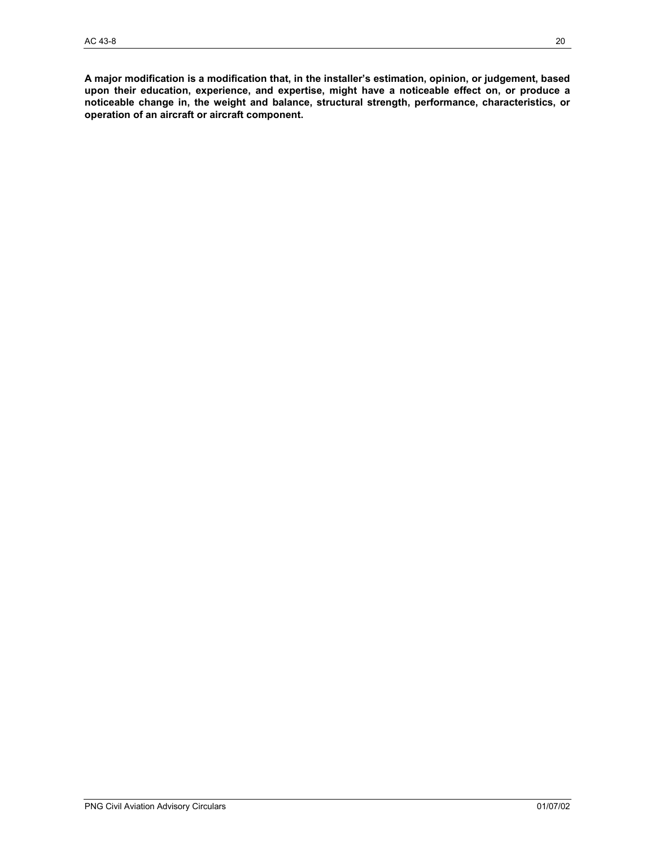**A major modification is a modification that, in the installer's estimation, opinion, or judgement, based upon their education, experience, and expertise, might have a noticeable effect on, or produce a noticeable change in, the weight and balance, structural strength, performance, characteristics, or operation of an aircraft or aircraft component.**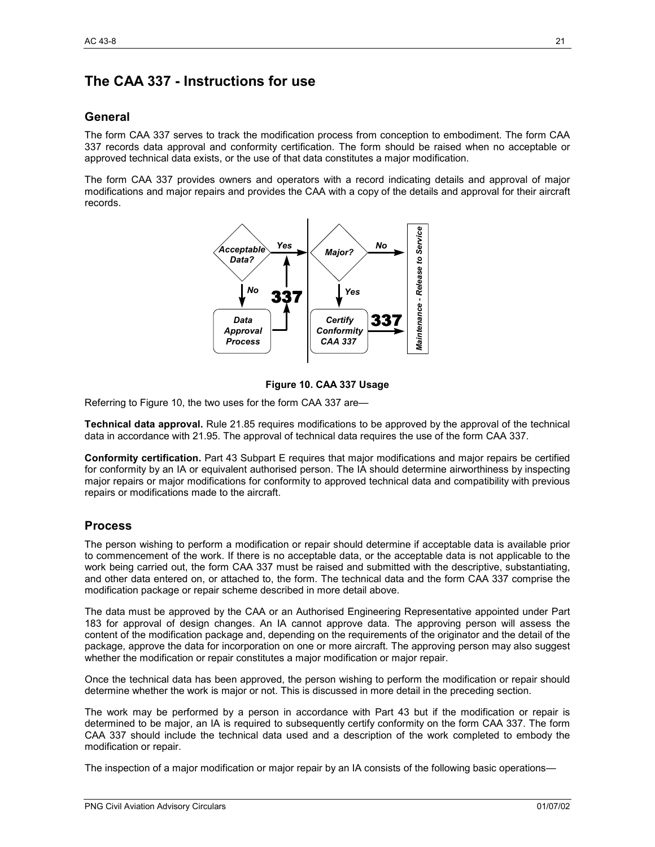# **The CAA 337 - Instructions for use**

# **General**

The form CAA 337 serves to track the modification process from conception to embodiment. The form CAA 337 records data approval and conformity certification. The form should be raised when no acceptable or approved technical data exists, or the use of that data constitutes a major modification.

The form CAA 337 provides owners and operators with a record indicating details and approval of major modifications and major repairs and provides the CAA with a copy of the details and approval for their aircraft records.



#### **Figure 10. CAA 337 Usage**

Referring to Figure 10, the two uses for the form CAA 337 are—

**Technical data approval.** Rule 21.85 requires modifications to be approved by the approval of the technical data in accordance with 21.95. The approval of technical data requires the use of the form CAA 337.

**Conformity certification.** Part 43 Subpart E requires that major modifications and major repairs be certified for conformity by an IA or equivalent authorised person. The IA should determine airworthiness by inspecting major repairs or major modifications for conformity to approved technical data and compatibility with previous repairs or modifications made to the aircraft.

# **Process**

The person wishing to perform a modification or repair should determine if acceptable data is available prior to commencement of the work. If there is no acceptable data, or the acceptable data is not applicable to the work being carried out, the form CAA 337 must be raised and submitted with the descriptive, substantiating, and other data entered on, or attached to, the form. The technical data and the form CAA 337 comprise the modification package or repair scheme described in more detail above.

The data must be approved by the CAA or an Authorised Engineering Representative appointed under Part 183 for approval of design changes. An IA cannot approve data. The approving person will assess the content of the modification package and, depending on the requirements of the originator and the detail of the package, approve the data for incorporation on one or more aircraft. The approving person may also suggest whether the modification or repair constitutes a major modification or major repair.

Once the technical data has been approved, the person wishing to perform the modification or repair should determine whether the work is major or not. This is discussed in more detail in the preceding section.

The work may be performed by a person in accordance with Part 43 but if the modification or repair is determined to be major, an IA is required to subsequently certify conformity on the form CAA 337. The form CAA 337 should include the technical data used and a description of the work completed to embody the modification or repair.

The inspection of a major modification or major repair by an IA consists of the following basic operations—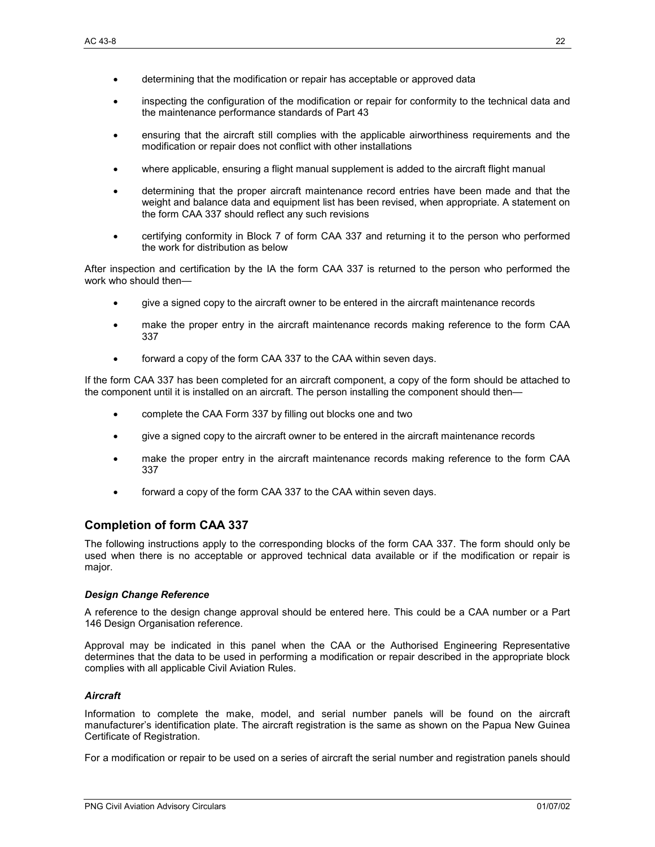- determining that the modification or repair has acceptable or approved data
- inspecting the configuration of the modification or repair for conformity to the technical data and the maintenance performance standards of Part 43
- ensuring that the aircraft still complies with the applicable airworthiness requirements and the modification or repair does not conflict with other installations
- where applicable, ensuring a flight manual supplement is added to the aircraft flight manual
- determining that the proper aircraft maintenance record entries have been made and that the weight and balance data and equipment list has been revised, when appropriate. A statement on the form CAA 337 should reflect any such revisions
- certifying conformity in Block 7 of form CAA 337 and returning it to the person who performed the work for distribution as below

After inspection and certification by the IA the form CAA 337 is returned to the person who performed the work who should then—

- give a signed copy to the aircraft owner to be entered in the aircraft maintenance records
- make the proper entry in the aircraft maintenance records making reference to the form CAA 337
- forward a copy of the form CAA 337 to the CAA within seven days.

If the form CAA 337 has been completed for an aircraft component, a copy of the form should be attached to the component until it is installed on an aircraft. The person installing the component should then—

- complete the CAA Form 337 by filling out blocks one and two
- give a signed copy to the aircraft owner to be entered in the aircraft maintenance records
- make the proper entry in the aircraft maintenance records making reference to the form CAA 337
- forward a copy of the form CAA 337 to the CAA within seven days.

# **Completion of form CAA 337**

The following instructions apply to the corresponding blocks of the form CAA 337. The form should only be used when there is no acceptable or approved technical data available or if the modification or repair is major.

#### *Design Change Reference*

A reference to the design change approval should be entered here. This could be a CAA number or a Part 146 Design Organisation reference.

Approval may be indicated in this panel when the CAA or the Authorised Engineering Representative determines that the data to be used in performing a modification or repair described in the appropriate block complies with all applicable Civil Aviation Rules.

#### *Aircraft*

Information to complete the make, model, and serial number panels will be found on the aircraft manufacturer's identification plate. The aircraft registration is the same as shown on the Papua New Guinea Certificate of Registration.

For a modification or repair to be used on a series of aircraft the serial number and registration panels should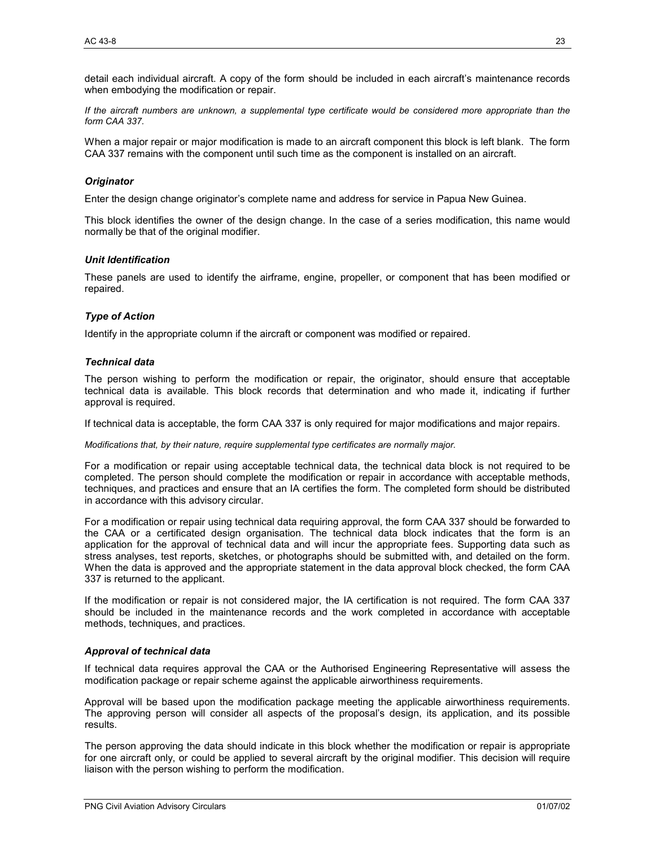detail each individual aircraft. A copy of the form should be included in each aircraft's maintenance records when embodying the modification or repair.

*If the aircraft numbers are unknown, a supplemental type certificate would be considered more appropriate than the form CAA 337.* 

When a major repair or major modification is made to an aircraft component this block is left blank. The form CAA 337 remains with the component until such time as the component is installed on an aircraft.

#### *Originator*

Enter the design change originator's complete name and address for service in Papua New Guinea.

This block identifies the owner of the design change. In the case of a series modification, this name would normally be that of the original modifier.

#### *Unit Identification*

These panels are used to identify the airframe, engine, propeller, or component that has been modified or repaired.

#### *Type of Action*

Identify in the appropriate column if the aircraft or component was modified or repaired.

#### *Technical data*

The person wishing to perform the modification or repair, the originator, should ensure that acceptable technical data is available. This block records that determination and who made it, indicating if further approval is required.

If technical data is acceptable, the form CAA 337 is only required for major modifications and major repairs.

*Modifications that, by their nature, require supplemental type certificates are normally major.* 

For a modification or repair using acceptable technical data, the technical data block is not required to be completed. The person should complete the modification or repair in accordance with acceptable methods, techniques, and practices and ensure that an IA certifies the form. The completed form should be distributed in accordance with this advisory circular.

For a modification or repair using technical data requiring approval, the form CAA 337 should be forwarded to the CAA or a certificated design organisation. The technical data block indicates that the form is an application for the approval of technical data and will incur the appropriate fees. Supporting data such as stress analyses, test reports, sketches, or photographs should be submitted with, and detailed on the form. When the data is approved and the appropriate statement in the data approval block checked, the form CAA 337 is returned to the applicant.

If the modification or repair is not considered major, the IA certification is not required. The form CAA 337 should be included in the maintenance records and the work completed in accordance with acceptable methods, techniques, and practices.

#### *Approval of technical data*

If technical data requires approval the CAA or the Authorised Engineering Representative will assess the modification package or repair scheme against the applicable airworthiness requirements.

Approval will be based upon the modification package meeting the applicable airworthiness requirements. The approving person will consider all aspects of the proposal's design, its application, and its possible results.

The person approving the data should indicate in this block whether the modification or repair is appropriate for one aircraft only, or could be applied to several aircraft by the original modifier. This decision will require liaison with the person wishing to perform the modification.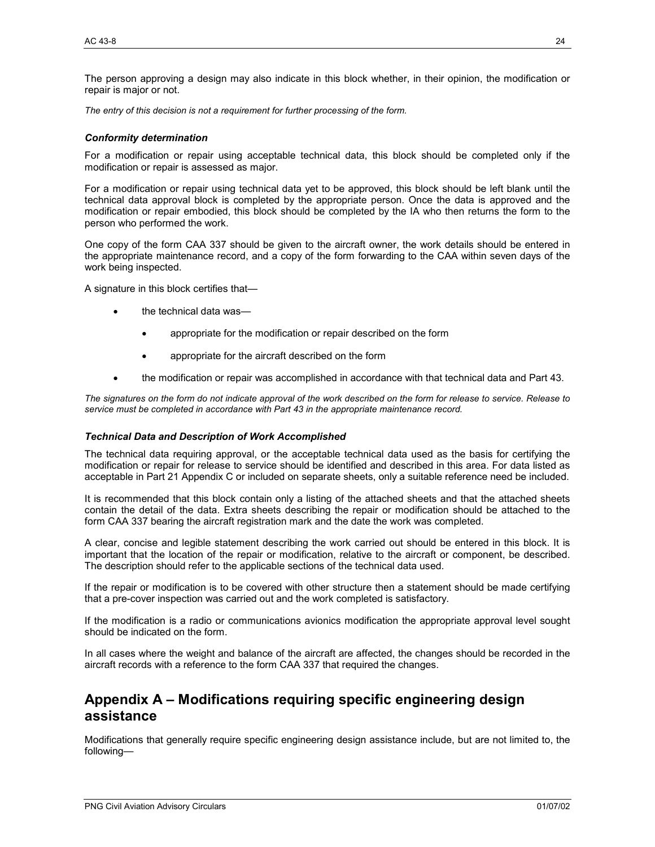The person approving a design may also indicate in this block whether, in their opinion, the modification or repair is major or not.

*The entry of this decision is not a requirement for further processing of the form.* 

#### *Conformity determination*

For a modification or repair using acceptable technical data, this block should be completed only if the modification or repair is assessed as major.

For a modification or repair using technical data yet to be approved, this block should be left blank until the technical data approval block is completed by the appropriate person. Once the data is approved and the modification or repair embodied, this block should be completed by the IA who then returns the form to the person who performed the work.

One copy of the form CAA 337 should be given to the aircraft owner, the work details should be entered in the appropriate maintenance record, and a copy of the form forwarding to the CAA within seven days of the work being inspected.

A signature in this block certifies that—

- the technical data was—
	- appropriate for the modification or repair described on the form
	- appropriate for the aircraft described on the form
- the modification or repair was accomplished in accordance with that technical data and Part 43.

*The signatures on the form do not indicate approval of the work described on the form for release to service. Release to service must be completed in accordance with Part 43 in the appropriate maintenance record.* 

#### *Technical Data and Description of Work Accomplished*

The technical data requiring approval, or the acceptable technical data used as the basis for certifying the modification or repair for release to service should be identified and described in this area. For data listed as acceptable in Part 21 Appendix C or included on separate sheets, only a suitable reference need be included.

It is recommended that this block contain only a listing of the attached sheets and that the attached sheets contain the detail of the data. Extra sheets describing the repair or modification should be attached to the form CAA 337 bearing the aircraft registration mark and the date the work was completed.

A clear, concise and legible statement describing the work carried out should be entered in this block. It is important that the location of the repair or modification, relative to the aircraft or component, be described. The description should refer to the applicable sections of the technical data used.

If the repair or modification is to be covered with other structure then a statement should be made certifying that a pre-cover inspection was carried out and the work completed is satisfactory.

If the modification is a radio or communications avionics modification the appropriate approval level sought should be indicated on the form.

In all cases where the weight and balance of the aircraft are affected, the changes should be recorded in the aircraft records with a reference to the form CAA 337 that required the changes.

# **Appendix A – Modifications requiring specific engineering design assistance**

Modifications that generally require specific engineering design assistance include, but are not limited to, the following—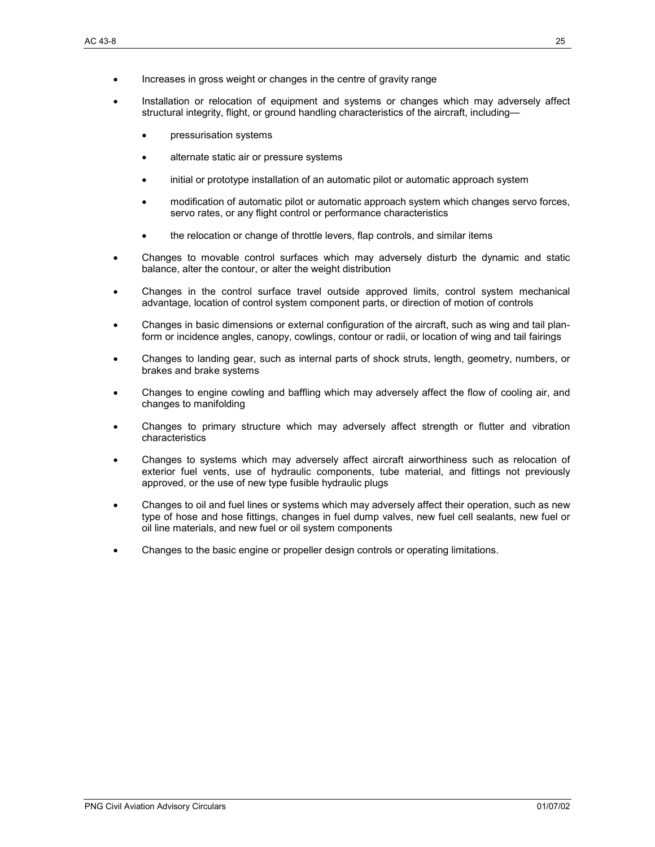- Increases in gross weight or changes in the centre of gravity range
- Installation or relocation of equipment and systems or changes which may adversely affect structural integrity, flight, or ground handling characteristics of the aircraft, including—
	- pressurisation systems
	- alternate static air or pressure systems
	- initial or prototype installation of an automatic pilot or automatic approach system
	- modification of automatic pilot or automatic approach system which changes servo forces, servo rates, or any flight control or performance characteristics
	- the relocation or change of throttle levers, flap controls, and similar items
- Changes to movable control surfaces which may adversely disturb the dynamic and static balance, alter the contour, or alter the weight distribution
- Changes in the control surface travel outside approved limits, control system mechanical advantage, location of control system component parts, or direction of motion of controls
- Changes in basic dimensions or external configuration of the aircraft, such as wing and tail planform or incidence angles, canopy, cowlings, contour or radii, or location of wing and tail fairings
- Changes to landing gear, such as internal parts of shock struts, length, geometry, numbers, or brakes and brake systems
- Changes to engine cowling and baffling which may adversely affect the flow of cooling air, and changes to manifolding
- Changes to primary structure which may adversely affect strength or flutter and vibration characteristics
- Changes to systems which may adversely affect aircraft airworthiness such as relocation of exterior fuel vents, use of hydraulic components, tube material, and fittings not previously approved, or the use of new type fusible hydraulic plugs
- Changes to oil and fuel lines or systems which may adversely affect their operation, such as new type of hose and hose fittings, changes in fuel dump valves, new fuel cell sealants, new fuel or oil line materials, and new fuel or oil system components
- Changes to the basic engine or propeller design controls or operating limitations.